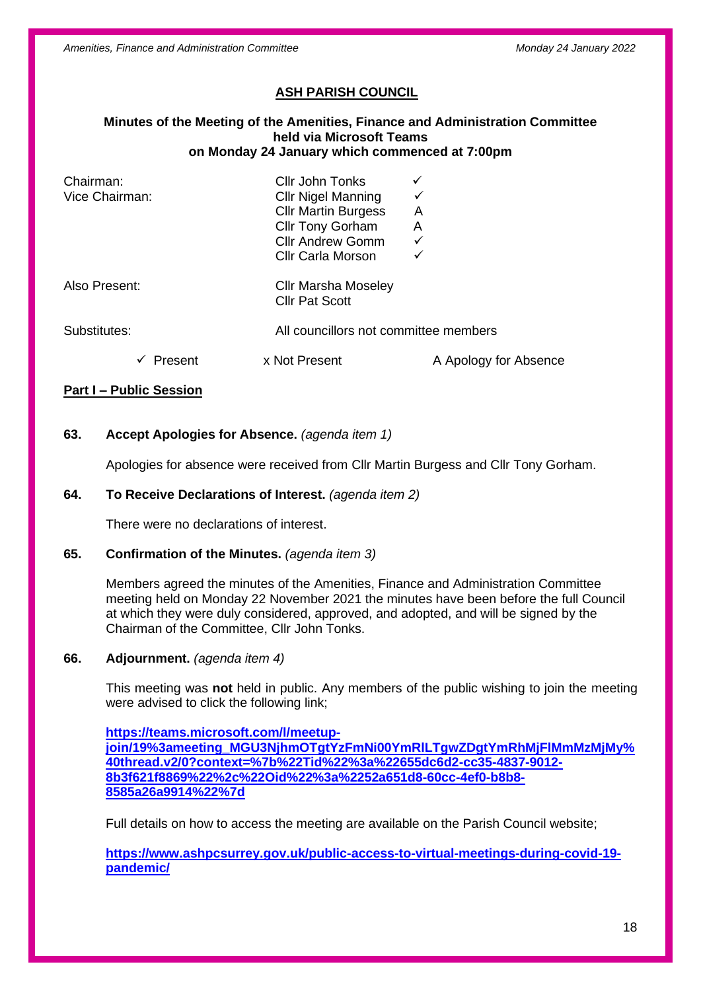*Amenities, Finance and Administration Committee Monday 24 January 2022*

# **ASH PARISH COUNCIL**

#### **Minutes of the Meeting of the Amenities, Finance and Administration Committee held via Microsoft Teams on Monday 24 January which commenced at 7:00pm**

| Chairman:<br>Vice Chairman: | Cllr John Tonks<br><b>Cllr Nigel Manning</b><br><b>Cllr Martin Burgess</b><br><b>Cllr Tony Gorham</b><br><b>Cllr Andrew Gomm</b><br><b>Cllr Carla Morson</b> | A<br>A<br>✓<br>$\checkmark$ |
|-----------------------------|--------------------------------------------------------------------------------------------------------------------------------------------------------------|-----------------------------|
| Also Present:               | <b>Cllr Marsha Moseley</b><br><b>Cllr Pat Scott</b>                                                                                                          |                             |
| Substitutes:                | All councillors not committee members                                                                                                                        |                             |
| Present                     | x Not Present                                                                                                                                                | A Apology for Absence       |

## **Part I – Public Session**

## **63. Accept Apologies for Absence.** *(agenda item 1)*

Apologies for absence were received from Cllr Martin Burgess and Cllr Tony Gorham.

#### **64. To Receive Declarations of Interest.** *(agenda item 2)*

There were no declarations of interest.

#### **65. Confirmation of the Minutes.** *(agenda item 3)*

Members agreed the minutes of the Amenities, Finance and Administration Committee meeting held on Monday 22 November 2021 the minutes have been before the full Council at which they were duly considered, approved, and adopted, and will be signed by the Chairman of the Committee, Cllr John Tonks.

#### **66. Adjournment.** *(agenda item 4)*

This meeting was **not** held in public. Any members of the public wishing to join the meeting were advised to click the following link;

**[https://teams.microsoft.com/l/meetup](https://teams.microsoft.com/l/meetup-join/19%3ameeting_MGU3NjhmOTgtYzFmNi00YmRlLTgwZDgtYmRhMjFlMmMzMjMy%40thread.v2/0?context=%7b%22Tid%22%3a%22655dc6d2-cc35-4837-9012-8b3f621f8869%22%2c%22Oid%22%3a%2252a651d8-60cc-4ef0-b8b8-8585a26a9914%22%7d)[join/19%3ameeting\\_MGU3NjhmOTgtYzFmNi00YmRlLTgwZDgtYmRhMjFlMmMzMjMy%](https://teams.microsoft.com/l/meetup-join/19%3ameeting_MGU3NjhmOTgtYzFmNi00YmRlLTgwZDgtYmRhMjFlMmMzMjMy%40thread.v2/0?context=%7b%22Tid%22%3a%22655dc6d2-cc35-4837-9012-8b3f621f8869%22%2c%22Oid%22%3a%2252a651d8-60cc-4ef0-b8b8-8585a26a9914%22%7d) [40thread.v2/0?context=%7b%22Tid%22%3a%22655dc6d2-cc35-4837-9012-](https://teams.microsoft.com/l/meetup-join/19%3ameeting_MGU3NjhmOTgtYzFmNi00YmRlLTgwZDgtYmRhMjFlMmMzMjMy%40thread.v2/0?context=%7b%22Tid%22%3a%22655dc6d2-cc35-4837-9012-8b3f621f8869%22%2c%22Oid%22%3a%2252a651d8-60cc-4ef0-b8b8-8585a26a9914%22%7d) [8b3f621f8869%22%2c%22Oid%22%3a%2252a651d8-60cc-4ef0-b8b8-](https://teams.microsoft.com/l/meetup-join/19%3ameeting_MGU3NjhmOTgtYzFmNi00YmRlLTgwZDgtYmRhMjFlMmMzMjMy%40thread.v2/0?context=%7b%22Tid%22%3a%22655dc6d2-cc35-4837-9012-8b3f621f8869%22%2c%22Oid%22%3a%2252a651d8-60cc-4ef0-b8b8-8585a26a9914%22%7d) [8585a26a9914%22%7d](https://teams.microsoft.com/l/meetup-join/19%3ameeting_MGU3NjhmOTgtYzFmNi00YmRlLTgwZDgtYmRhMjFlMmMzMjMy%40thread.v2/0?context=%7b%22Tid%22%3a%22655dc6d2-cc35-4837-9012-8b3f621f8869%22%2c%22Oid%22%3a%2252a651d8-60cc-4ef0-b8b8-8585a26a9914%22%7d)**

Full details on how to access the meeting are available on the Parish Council website;

**[https://www.ashpcsurrey.gov.uk/public-access-to-virtual-meetings-during-covid-19](https://www.ashpcsurrey.gov.uk/public-access-to-virtual-meetings-during-covid-19-pandemic/) [pandemic/](https://www.ashpcsurrey.gov.uk/public-access-to-virtual-meetings-during-covid-19-pandemic/)**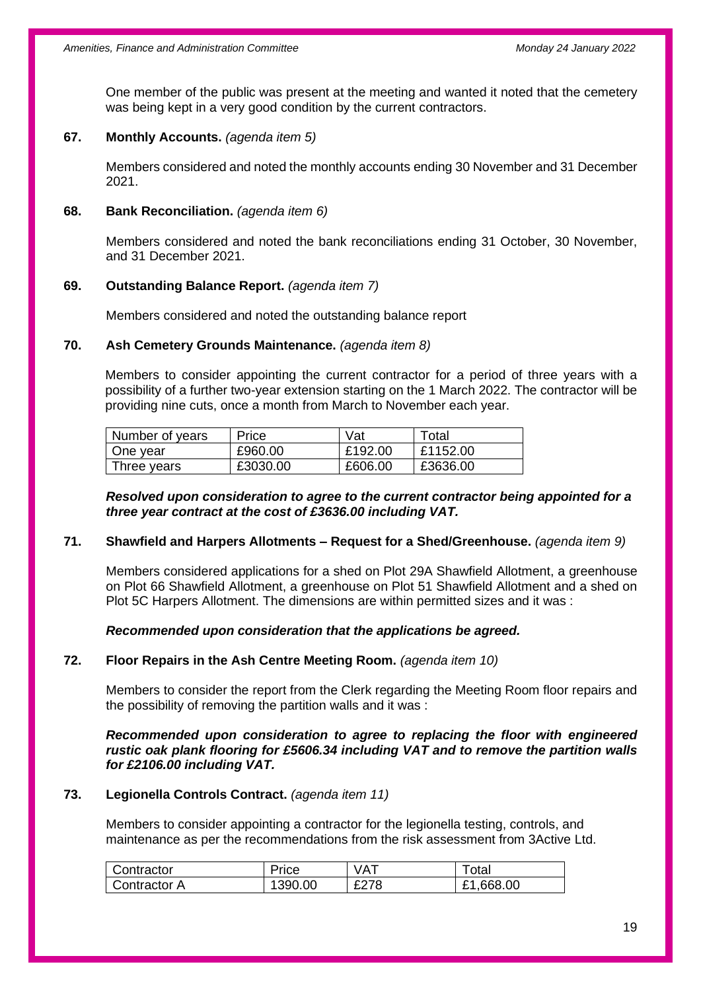One member of the public was present at the meeting and wanted it noted that the cemetery was being kept in a very good condition by the current contractors.

#### **67. Monthly Accounts.** *(agenda item 5)*

Members considered and noted the monthly accounts ending 30 November and 31 December 2021.

#### **68. Bank Reconciliation.** *(agenda item 6)*

Members considered and noted the bank reconciliations ending 31 October, 30 November, and 31 December 2021.

## **69. Outstanding Balance Report.** *(agenda item 7)*

Members considered and noted the outstanding balance report

#### **70. Ash Cemetery Grounds Maintenance.** *(agenda item 8)*

Members to consider appointing the current contractor for a period of three years with a possibility of a further two-year extension starting on the 1 March 2022. The contractor will be providing nine cuts, once a month from March to November each year.

| Number of years | Price    | Vat     | Total    |
|-----------------|----------|---------|----------|
| One year        | £960.00  | £192.00 | £1152.00 |
| Three years     | £3030.00 | £606.00 | £3636.00 |

#### *Resolved upon consideration to agree to the current contractor being appointed for a three year contract at the cost of £3636.00 including VAT.*

#### **71. Shawfield and Harpers Allotments – Request for a Shed/Greenhouse.** *(agenda item 9)*

Members considered applications for a shed on Plot 29A Shawfield Allotment, a greenhouse on Plot 66 Shawfield Allotment, a greenhouse on Plot 51 Shawfield Allotment and a shed on Plot 5C Harpers Allotment. The dimensions are within permitted sizes and it was :

#### *Recommended upon consideration that the applications be agreed.*

## **72. Floor Repairs in the Ash Centre Meeting Room.** *(agenda item 10)*

Members to consider the report from the Clerk regarding the Meeting Room floor repairs and the possibility of removing the partition walls and it was :

*Recommended upon consideration to agree to replacing the floor with engineered rustic oak plank flooring for £5606.34 including VAT and to remove the partition walls for £2106.00 including VAT.*

#### **73. Legionella Controls Contract.** *(agenda item 11)*

Members to consider appointing a contractor for the legionella testing, controls, and maintenance as per the recommendations from the risk assessment from 3Active Ltd.

| Contractor          | Price  | <b>VAT</b> | ⊺otal     |
|---------------------|--------|------------|-----------|
| <b>Contractor A</b> | 390.00 | £278       | £1,668.00 |